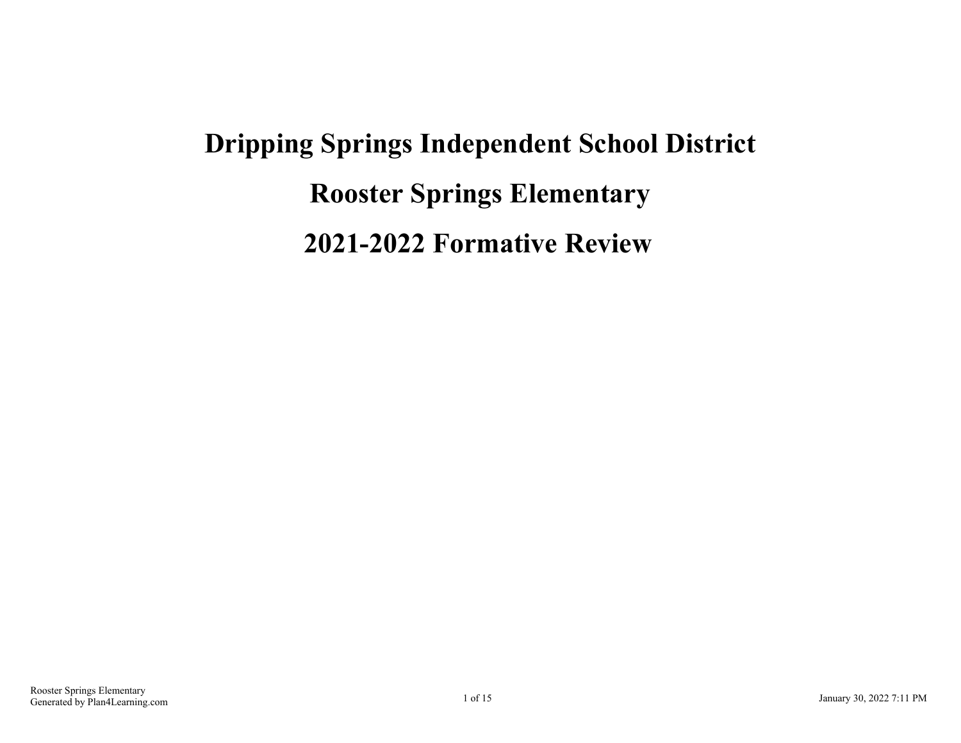# **Dripping Springs Independent School District Rooster Springs Elementary 2021-2022 Formative Review**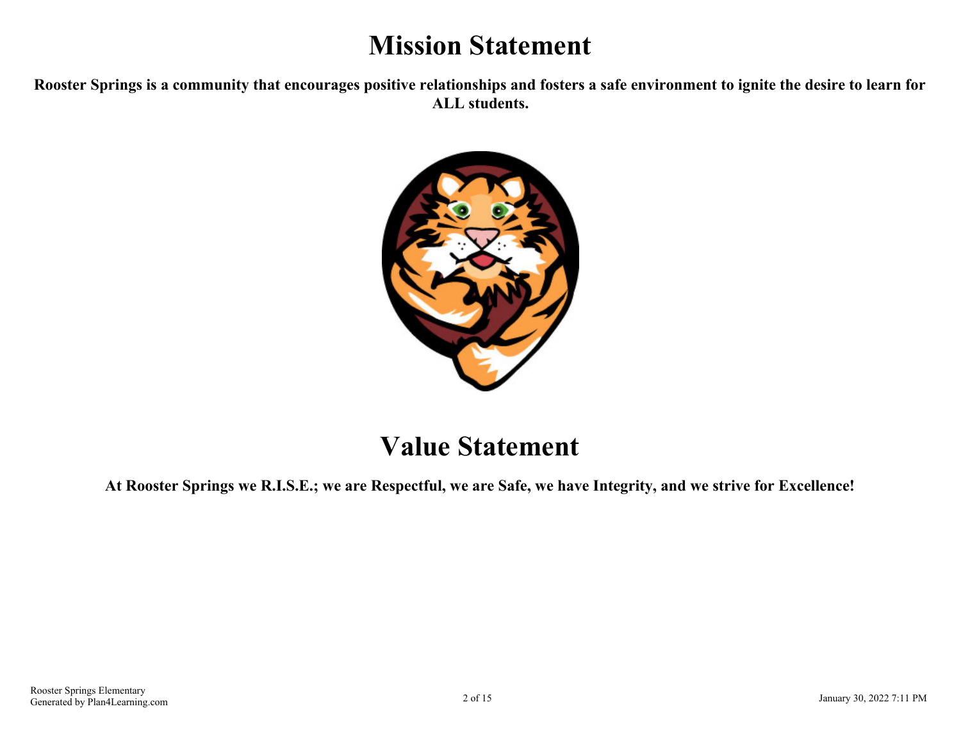# **Mission Statement**

**Rooster Springs is a community that encourages positive relationships and fosters a safe environment to ignite the desire to learn for ALL students.**



## **Value Statement**

**At Rooster Springs we R.I.S.E.; we are Respectful, we are Safe, we have Integrity, and we strive for Excellence!**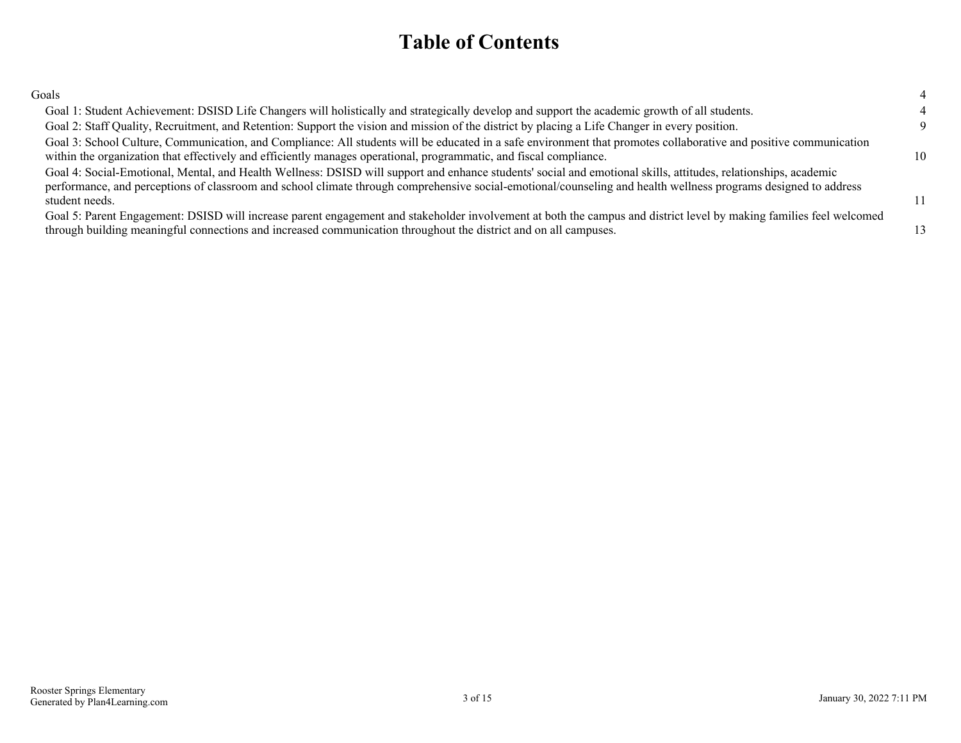### **Table of Contents**

| ٧<br>I<br>I<br>۰,<br>۰, |
|-------------------------|
|-------------------------|

| Goals                                                                                                                                                                                                                                                                                                                                                |          |
|------------------------------------------------------------------------------------------------------------------------------------------------------------------------------------------------------------------------------------------------------------------------------------------------------------------------------------------------------|----------|
| Goal 1: Student Achievement: DSISD Life Changers will holistically and strategically develop and support the academic growth of all students.                                                                                                                                                                                                        |          |
| Goal 2: Staff Quality, Recruitment, and Retention: Support the vision and mission of the district by placing a Life Changer in every position.                                                                                                                                                                                                       | $\Omega$ |
| Goal 3: School Culture, Communication, and Compliance: All students will be educated in a safe environment that promotes collaborative and positive communication<br>within the organization that effectively and efficiently manages operational, programmatic, and fiscal compliance.                                                              | 10       |
| Goal 4: Social-Emotional, Mental, and Health Wellness: DSISD will support and enhance students' social and emotional skills, attitudes, relationships, academic<br>performance, and perceptions of classroom and school climate through comprehensive social-emotional/counseling and health wellness programs designed to address<br>student needs. | 11       |
| Goal 5: Parent Engagement: DSISD will increase parent engagement and stakeholder involvement at both the campus and district level by making families feel welcomed<br>through building meaningful connections and increased communication throughout the district and on all campuses.                                                              | 13       |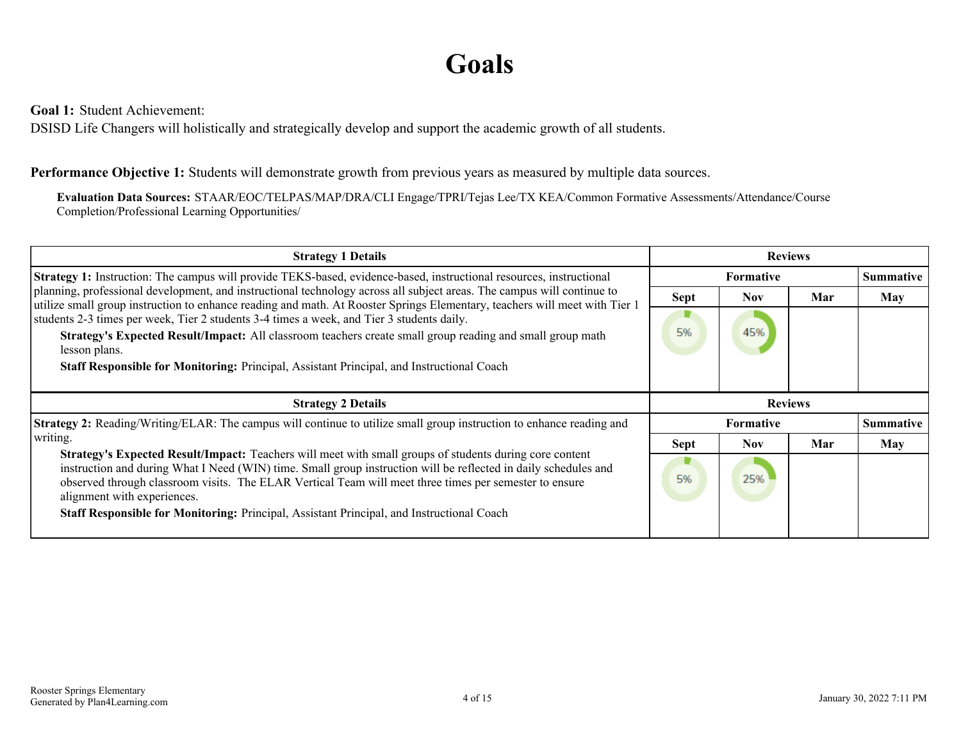# **Goals**

<span id="page-3-0"></span>**Goal 1:** Student Achievement:

DSISD Life Changers will holistically and strategically develop and support the academic growth of all students.

#### **Performance Objective 1:** Students will demonstrate growth from previous years as measured by multiple data sources.

**Evaluation Data Sources:** STAAR/EOC/TELPAS/MAP/DRA/CLI Engage/TPRI/Tejas Lee/TX KEA/Common Formative Assessments/Attendance/Course Completion/Professional Learning Opportunities/

| <b>Strategy 1 Details</b>                                                                                                                                                                                                                                                                                                                                           | <b>Reviews</b>   |                  |     |                  |
|---------------------------------------------------------------------------------------------------------------------------------------------------------------------------------------------------------------------------------------------------------------------------------------------------------------------------------------------------------------------|------------------|------------------|-----|------------------|
| Strategy 1: Instruction: The campus will provide TEKS-based, evidence-based, instructional resources, instructional                                                                                                                                                                                                                                                 | <b>Formative</b> |                  |     | <b>Summative</b> |
| planning, professional development, and instructional technology across all subject areas. The campus will continue to<br>utilize small group instruction to enhance reading and math. At Rooster Springs Elementary, teachers will meet with Tier 1                                                                                                                | <b>Sept</b>      | Nov.             | Mar | May              |
| students 2-3 times per week, Tier 2 students 3-4 times a week, and Tier 3 students daily.                                                                                                                                                                                                                                                                           |                  |                  |     |                  |
| Strategy's Expected Result/Impact: All classroom teachers create small group reading and small group math<br>lesson plans.                                                                                                                                                                                                                                          | 5%               | 45%              |     |                  |
| <b>Staff Responsible for Monitoring: Principal, Assistant Principal, and Instructional Coach</b>                                                                                                                                                                                                                                                                    |                  |                  |     |                  |
|                                                                                                                                                                                                                                                                                                                                                                     |                  |                  |     |                  |
|                                                                                                                                                                                                                                                                                                                                                                     |                  |                  |     |                  |
| <b>Strategy 2 Details</b>                                                                                                                                                                                                                                                                                                                                           |                  | <b>Reviews</b>   |     |                  |
| <b>Strategy 2:</b> Reading/Writing/ELAR: The campus will continue to utilize small group instruction to enhance reading and                                                                                                                                                                                                                                         |                  | <b>Formative</b> |     | Summative        |
| writing.                                                                                                                                                                                                                                                                                                                                                            | <b>Sept</b>      | Nov.             | Mar | <b>May</b>       |
| Strategy's Expected Result/Impact: Teachers will meet with small groups of students during core content<br>instruction and during What I Need (WIN) time. Small group instruction will be reflected in daily schedules and<br>observed through classroom visits. The ELAR Vertical Team will meet three times per semester to ensure<br>alignment with experiences. | 5%               | 25%              |     |                  |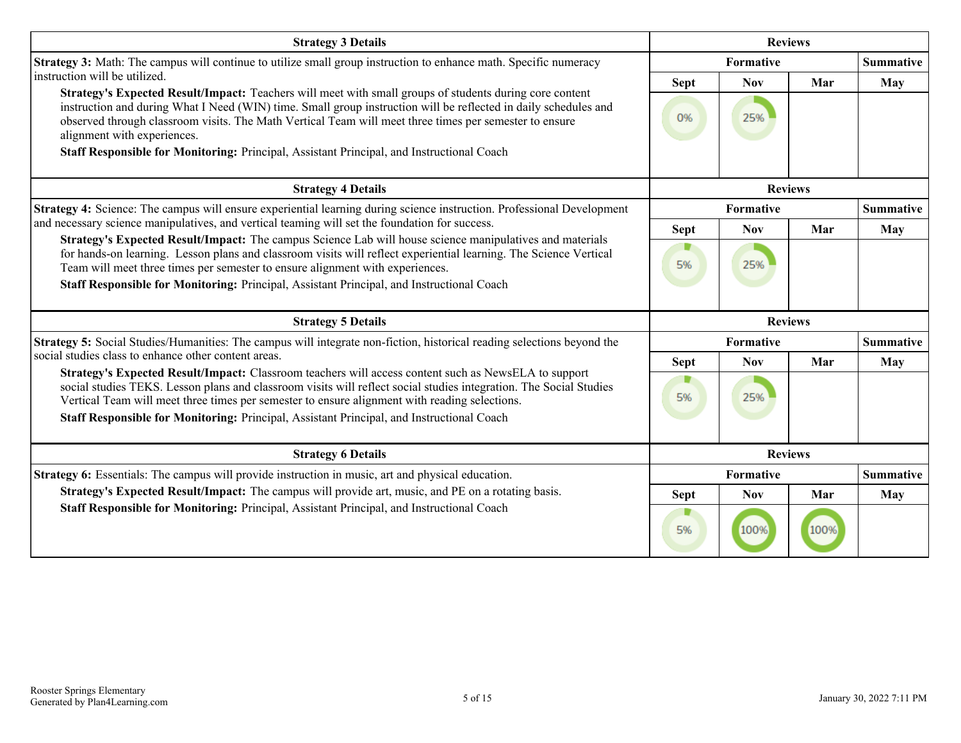| <b>Strategy 3 Details</b>                                                                                                                                                                                                                                                                                                                                                                                   | <b>Reviews</b> |            |                |                  |
|-------------------------------------------------------------------------------------------------------------------------------------------------------------------------------------------------------------------------------------------------------------------------------------------------------------------------------------------------------------------------------------------------------------|----------------|------------|----------------|------------------|
| <b>Strategy 3:</b> Math: The campus will continue to utilize small group instruction to enhance math. Specific numeracy                                                                                                                                                                                                                                                                                     | Formative      |            |                | <b>Summative</b> |
| instruction will be utilized.                                                                                                                                                                                                                                                                                                                                                                               | <b>Sept</b>    | <b>Nov</b> | Mar            | May              |
| Strategy's Expected Result/Impact: Teachers will meet with small groups of students during core content<br>instruction and during What I Need (WIN) time. Small group instruction will be reflected in daily schedules and<br>observed through classroom visits. The Math Vertical Team will meet three times per semester to ensure<br>alignment with experiences.                                         | 0%             | 25%        |                |                  |
| Staff Responsible for Monitoring: Principal, Assistant Principal, and Instructional Coach                                                                                                                                                                                                                                                                                                                   |                |            |                |                  |
| <b>Strategy 4 Details</b>                                                                                                                                                                                                                                                                                                                                                                                   |                |            | <b>Reviews</b> |                  |
| Strategy 4: Science: The campus will ensure experiential learning during science instruction. Professional Development                                                                                                                                                                                                                                                                                      |                | Formative  |                | <b>Summative</b> |
| and necessary science manipulatives, and vertical teaming will set the foundation for success.                                                                                                                                                                                                                                                                                                              | <b>Sept</b>    | <b>Nov</b> | Mar            | May              |
| Strategy's Expected Result/Impact: The campus Science Lab will house science manipulatives and materials<br>for hands-on learning. Lesson plans and classroom visits will reflect experiential learning. The Science Vertical<br>Team will meet three times per semester to ensure alignment with experiences.<br>Staff Responsible for Monitoring: Principal, Assistant Principal, and Instructional Coach | 5%             | 25%        |                |                  |
|                                                                                                                                                                                                                                                                                                                                                                                                             |                |            |                |                  |
| <b>Strategy 5 Details</b>                                                                                                                                                                                                                                                                                                                                                                                   |                |            | <b>Reviews</b> |                  |
| <b>Strategy 5:</b> Social Studies/Humanities: The campus will integrate non-fiction, historical reading selections beyond the                                                                                                                                                                                                                                                                               |                | Formative  |                | <b>Summative</b> |
| social studies class to enhance other content areas.                                                                                                                                                                                                                                                                                                                                                        | <b>Sept</b>    | <b>Nov</b> | Mar            | May              |
| Strategy's Expected Result/Impact: Classroom teachers will access content such as NewsELA to support<br>social studies TEKS. Lesson plans and classroom visits will reflect social studies integration. The Social Studies<br>Vertical Team will meet three times per semester to ensure alignment with reading selections.                                                                                 | 5%             | 25%        |                |                  |
| Staff Responsible for Monitoring: Principal, Assistant Principal, and Instructional Coach                                                                                                                                                                                                                                                                                                                   |                |            |                |                  |
| <b>Strategy 6 Details</b>                                                                                                                                                                                                                                                                                                                                                                                   |                |            | <b>Reviews</b> |                  |
| Strategy 6: Essentials: The campus will provide instruction in music, art and physical education.                                                                                                                                                                                                                                                                                                           | Formative      |            |                | <b>Summative</b> |
| Strategy's Expected Result/Impact: The campus will provide art, music, and PE on a rotating basis.                                                                                                                                                                                                                                                                                                          | <b>Sept</b>    | <b>Nov</b> | Mar            | May              |
| Staff Responsible for Monitoring: Principal, Assistant Principal, and Instructional Coach                                                                                                                                                                                                                                                                                                                   | 5%             | 100%       | 100%           |                  |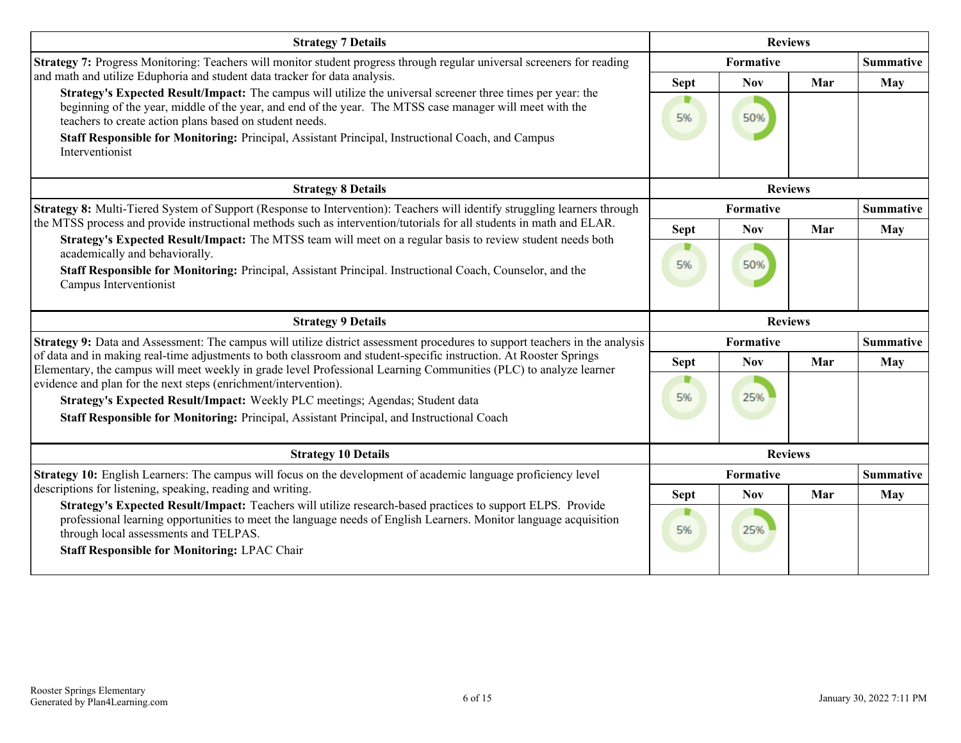| <b>Strategy 7 Details</b>                                                                                                                                                                                                                                                                                                                                                               | <b>Reviews</b> |                  |     |                  |
|-----------------------------------------------------------------------------------------------------------------------------------------------------------------------------------------------------------------------------------------------------------------------------------------------------------------------------------------------------------------------------------------|----------------|------------------|-----|------------------|
| Strategy 7: Progress Monitoring: Teachers will monitor student progress through regular universal screeners for reading                                                                                                                                                                                                                                                                 |                | Formative        |     |                  |
| and math and utilize Eduphoria and student data tracker for data analysis.                                                                                                                                                                                                                                                                                                              | <b>Sept</b>    | <b>Nov</b>       | Mar | May              |
| Strategy's Expected Result/Impact: The campus will utilize the universal screener three times per year: the<br>beginning of the year, middle of the year, and end of the year. The MTSS case manager will meet with the<br>teachers to create action plans based on student needs.<br>Staff Responsible for Monitoring: Principal, Assistant Principal, Instructional Coach, and Campus | 5%             | 50%              |     |                  |
| Interventionist                                                                                                                                                                                                                                                                                                                                                                         |                |                  |     |                  |
| <b>Strategy 8 Details</b>                                                                                                                                                                                                                                                                                                                                                               |                | <b>Reviews</b>   |     |                  |
| Strategy 8: Multi-Tiered System of Support (Response to Intervention): Teachers will identify struggling learners through                                                                                                                                                                                                                                                               |                | Formative        |     | <b>Summative</b> |
| the MTSS process and provide instructional methods such as intervention/tutorials for all students in math and ELAR.<br>Strategy's Expected Result/Impact: The MTSS team will meet on a regular basis to review student needs both                                                                                                                                                      | <b>Sept</b>    | <b>Nov</b>       | Mar | May              |
| academically and behaviorally.                                                                                                                                                                                                                                                                                                                                                          | D<br>5%        | 50%              |     |                  |
| Staff Responsible for Monitoring: Principal, Assistant Principal. Instructional Coach, Counselor, and the<br>Campus Interventionist                                                                                                                                                                                                                                                     |                |                  |     |                  |
| <b>Strategy 9 Details</b>                                                                                                                                                                                                                                                                                                                                                               |                | <b>Reviews</b>   |     |                  |
|                                                                                                                                                                                                                                                                                                                                                                                         |                |                  |     |                  |
| Strategy 9: Data and Assessment: The campus will utilize district assessment procedures to support teachers in the analysis                                                                                                                                                                                                                                                             |                | Formative        |     | <b>Summative</b> |
| of data and in making real-time adjustments to both classroom and student-specific instruction. At Rooster Springs                                                                                                                                                                                                                                                                      | <b>Sept</b>    | <b>Nov</b>       | Mar | May              |
| Elementary, the campus will meet weekly in grade level Professional Learning Communities (PLC) to analyze learner<br>evidence and plan for the next steps (enrichment/intervention).                                                                                                                                                                                                    |                |                  |     |                  |
| Strategy's Expected Result/Impact: Weekly PLC meetings; Agendas; Student data                                                                                                                                                                                                                                                                                                           | 5%             | 25%              |     |                  |
| Staff Responsible for Monitoring: Principal, Assistant Principal, and Instructional Coach                                                                                                                                                                                                                                                                                               |                |                  |     |                  |
| <b>Strategy 10 Details</b>                                                                                                                                                                                                                                                                                                                                                              |                | <b>Reviews</b>   |     |                  |
| Strategy 10: English Learners: The campus will focus on the development of academic language proficiency level                                                                                                                                                                                                                                                                          |                | <b>Formative</b> |     | <b>Summative</b> |
| descriptions for listening, speaking, reading and writing.                                                                                                                                                                                                                                                                                                                              | <b>Sept</b>    | <b>Nov</b>       | Mar | <b>May</b>       |
| Strategy's Expected Result/Impact: Teachers will utilize research-based practices to support ELPS. Provide<br>professional learning opportunities to meet the language needs of English Learners. Monitor language acquisition<br>through local assessments and TELPAS.<br><b>Staff Responsible for Monitoring: LPAC Chair</b>                                                          | 5%             | 25%              |     |                  |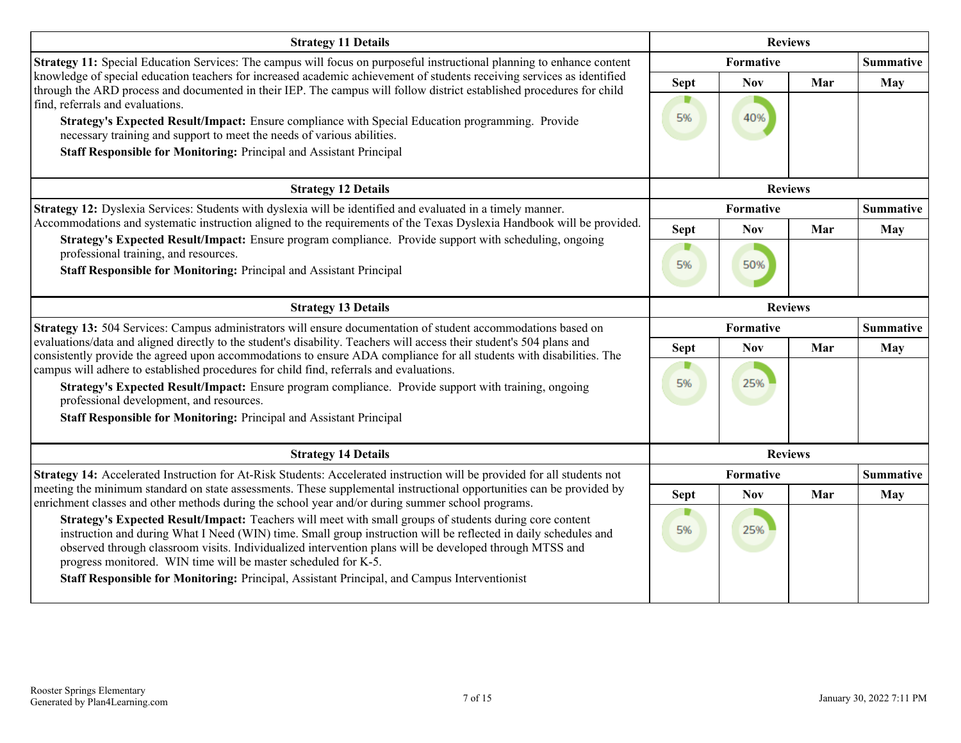| <b>Strategy 11 Details</b>                                                                                                                                                                                                                                                                                                                                                                                                                                                                                                                | <b>Reviews</b>    |                   |     |                  |
|-------------------------------------------------------------------------------------------------------------------------------------------------------------------------------------------------------------------------------------------------------------------------------------------------------------------------------------------------------------------------------------------------------------------------------------------------------------------------------------------------------------------------------------------|-------------------|-------------------|-----|------------------|
| Strategy 11: Special Education Services: The campus will focus on purposeful instructional planning to enhance content                                                                                                                                                                                                                                                                                                                                                                                                                    |                   | Formative         |     | <b>Summative</b> |
| knowledge of special education teachers for increased academic achievement of students receiving services as identified<br>through the ARD process and documented in their IEP. The campus will follow district established procedures for child<br>find, referrals and evaluations.<br>Strategy's Expected Result/Impact: Ensure compliance with Special Education programming. Provide<br>necessary training and support to meet the needs of various abilities.<br>Staff Responsible for Monitoring: Principal and Assistant Principal | <b>Sept</b><br>5% | <b>Nov</b><br>40% | Mar | May              |
| <b>Strategy 12 Details</b>                                                                                                                                                                                                                                                                                                                                                                                                                                                                                                                |                   | <b>Reviews</b>    |     |                  |
| Strategy 12: Dyslexia Services: Students with dyslexia will be identified and evaluated in a timely manner.                                                                                                                                                                                                                                                                                                                                                                                                                               |                   | Formative         |     | <b>Summative</b> |
| Accommodations and systematic instruction aligned to the requirements of the Texas Dyslexia Handbook will be provided.                                                                                                                                                                                                                                                                                                                                                                                                                    | <b>Sept</b>       | <b>Nov</b>        | Mar | <b>May</b>       |
| Strategy's Expected Result/Impact: Ensure program compliance. Provide support with scheduling, ongoing<br>professional training, and resources.<br>Staff Responsible for Monitoring: Principal and Assistant Principal                                                                                                                                                                                                                                                                                                                    | 5%                | 50%               |     |                  |
| <b>Strategy 13 Details</b>                                                                                                                                                                                                                                                                                                                                                                                                                                                                                                                | <b>Reviews</b>    |                   |     |                  |
| Strategy 13: 504 Services: Campus administrators will ensure documentation of student accommodations based on                                                                                                                                                                                                                                                                                                                                                                                                                             |                   | Formative         |     | <b>Summative</b> |
| evaluations/data and aligned directly to the student's disability. Teachers will access their student's 504 plans and<br>consistently provide the agreed upon accommodations to ensure ADA compliance for all students with disabilities. The<br>campus will adhere to established procedures for child find, referrals and evaluations.                                                                                                                                                                                                  | <b>Sept</b><br>▼  | <b>Nov</b>        | Mar | <b>May</b>       |
| Strategy's Expected Result/Impact: Ensure program compliance. Provide support with training, ongoing<br>professional development, and resources.<br>Staff Responsible for Monitoring: Principal and Assistant Principal                                                                                                                                                                                                                                                                                                                   | 5%                | 25%               |     |                  |
| <b>Strategy 14 Details</b>                                                                                                                                                                                                                                                                                                                                                                                                                                                                                                                |                   | <b>Reviews</b>    |     |                  |
| Strategy 14: Accelerated Instruction for At-Risk Students: Accelerated instruction will be provided for all students not                                                                                                                                                                                                                                                                                                                                                                                                                  |                   | Formative         |     | <b>Summative</b> |
| meeting the minimum standard on state assessments. These supplemental instructional opportunities can be provided by<br>enrichment classes and other methods during the school year and/or during summer school programs.                                                                                                                                                                                                                                                                                                                 | <b>Sept</b>       | <b>Nov</b>        | Mar | <b>May</b>       |
| Strategy's Expected Result/Impact: Teachers will meet with small groups of students during core content<br>instruction and during What I Need (WIN) time. Small group instruction will be reflected in daily schedules and<br>observed through classroom visits. Individualized intervention plans will be developed through MTSS and<br>progress monitored. WIN time will be master scheduled for K-5.                                                                                                                                   | D<br>5%           | 25%               |     |                  |
| Staff Responsible for Monitoring: Principal, Assistant Principal, and Campus Interventionist                                                                                                                                                                                                                                                                                                                                                                                                                                              |                   |                   |     |                  |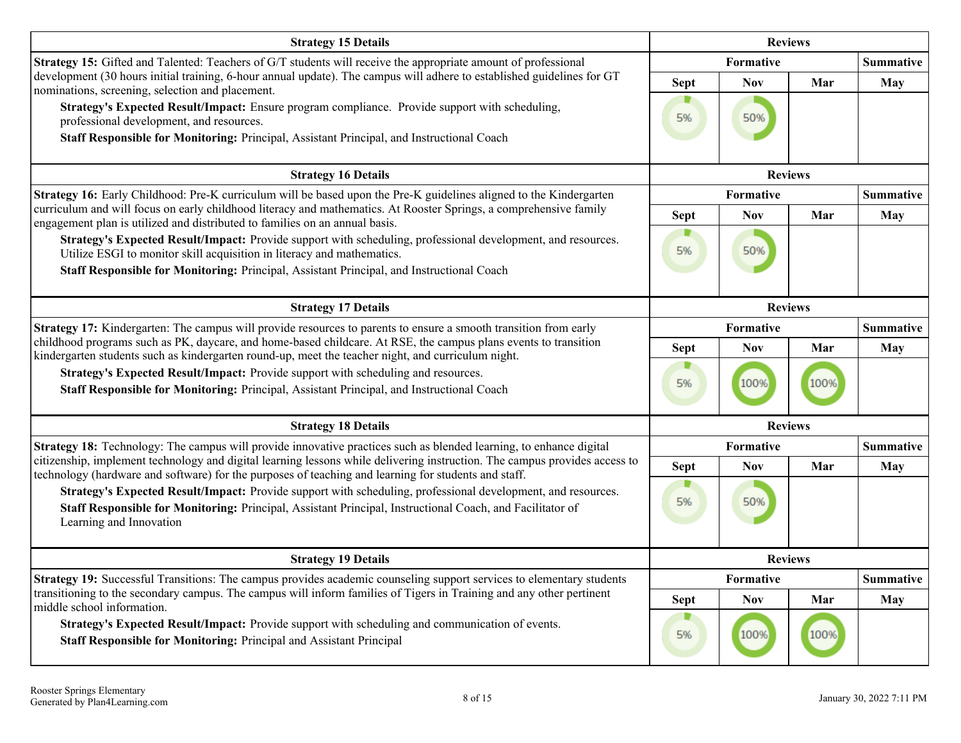| <b>Strategy 15 Details</b>                                                                                                                                                                                                                                                          | <b>Reviews</b> |                  |      |                  |
|-------------------------------------------------------------------------------------------------------------------------------------------------------------------------------------------------------------------------------------------------------------------------------------|----------------|------------------|------|------------------|
| Strategy 15: Gifted and Talented: Teachers of G/T students will receive the appropriate amount of professional                                                                                                                                                                      |                | <b>Formative</b> |      | <b>Summative</b> |
| development (30 hours initial training, 6-hour annual update). The campus will adhere to established guidelines for GT<br>nominations, screening, selection and placement.                                                                                                          | <b>Sept</b>    | <b>Nov</b>       | Mar  | <b>May</b>       |
| Strategy's Expected Result/Impact: Ensure program compliance. Provide support with scheduling,<br>professional development, and resources.<br>Staff Responsible for Monitoring: Principal, Assistant Principal, and Instructional Coach                                             | 5%             | 50%              |      |                  |
| <b>Strategy 16 Details</b>                                                                                                                                                                                                                                                          |                | <b>Reviews</b>   |      |                  |
| Strategy 16: Early Childhood: Pre-K curriculum will be based upon the Pre-K guidelines aligned to the Kindergarten                                                                                                                                                                  |                | <b>Formative</b> |      | <b>Summative</b> |
| curriculum and will focus on early childhood literacy and mathematics. At Rooster Springs, a comprehensive family<br>engagement plan is utilized and distributed to families on an annual basis.                                                                                    | <b>Sept</b>    | <b>Nov</b>       | Mar  | <b>May</b>       |
| Strategy's Expected Result/Impact: Provide support with scheduling, professional development, and resources.<br>Utilize ESGI to monitor skill acquisition in literacy and mathematics.<br>Staff Responsible for Monitoring: Principal, Assistant Principal, and Instructional Coach | D<br>5%        | 50%              |      |                  |
| <b>Strategy 17 Details</b>                                                                                                                                                                                                                                                          |                | <b>Reviews</b>   |      |                  |
| Strategy 17: Kindergarten: The campus will provide resources to parents to ensure a smooth transition from early                                                                                                                                                                    |                | Formative        |      | <b>Summative</b> |
| childhood programs such as PK, daycare, and home-based childcare. At RSE, the campus plans events to transition<br>kindergarten students such as kindergarten round-up, meet the teacher night, and curriculum night.                                                               | <b>Sept</b>    | <b>Nov</b>       | Mar  | <b>May</b>       |
| Strategy's Expected Result/Impact: Provide support with scheduling and resources.<br>Staff Responsible for Monitoring: Principal, Assistant Principal, and Instructional Coach                                                                                                      | 5%             | 100%             | 100% |                  |
| <b>Strategy 18 Details</b>                                                                                                                                                                                                                                                          |                | <b>Reviews</b>   |      |                  |
| <b>Strategy 18:</b> Technology: The campus will provide innovative practices such as blended learning, to enhance digital                                                                                                                                                           |                | Formative        |      | <b>Summative</b> |
| citizenship, implement technology and digital learning lessons while delivering instruction. The campus provides access to<br>technology (hardware and software) for the purposes of teaching and learning for students and staff.                                                  | <b>Sept</b>    | <b>Nov</b>       | Mar  | <b>May</b>       |
| Strategy's Expected Result/Impact: Provide support with scheduling, professional development, and resources.<br>Staff Responsible for Monitoring: Principal, Assistant Principal, Instructional Coach, and Facilitator of<br>Learning and Innovation                                | 5%             | 50%              |      |                  |
| <b>Strategy 19 Details</b>                                                                                                                                                                                                                                                          |                | <b>Reviews</b>   |      |                  |
| Strategy 19: Successful Transitions: The campus provides academic counseling support services to elementary students                                                                                                                                                                |                | Formative        |      | <b>Summative</b> |
| transitioning to the secondary campus. The campus will inform families of Tigers in Training and any other pertinent<br>middle school information.                                                                                                                                  | <b>Sept</b>    | <b>Nov</b>       | Mar  | <b>May</b>       |
| Strategy's Expected Result/Impact: Provide support with scheduling and communication of events.<br>Staff Responsible for Monitoring: Principal and Assistant Principal                                                                                                              | 5%             | 100%             | 100% |                  |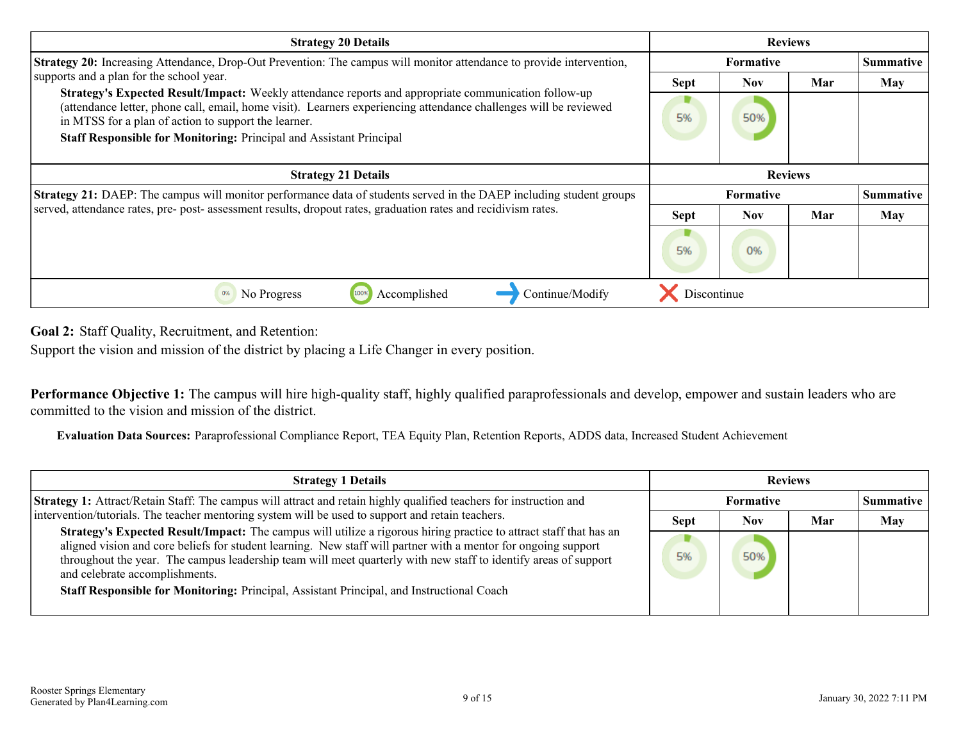<span id="page-8-0"></span>

| <b>Strategy 20 Details</b>                                                                                                                                                                                                                                                       | <b>Reviews</b>   |                  |     |                  |
|----------------------------------------------------------------------------------------------------------------------------------------------------------------------------------------------------------------------------------------------------------------------------------|------------------|------------------|-----|------------------|
| Strategy 20: Increasing Attendance, Drop-Out Prevention: The campus will monitor attendance to provide intervention,                                                                                                                                                             | <b>Formative</b> |                  |     | <b>Summative</b> |
| supports and a plan for the school year.                                                                                                                                                                                                                                         | <b>Sept</b>      | Nov.             | Mar | <b>May</b>       |
| Strategy's Expected Result/Impact: Weekly attendance reports and appropriate communication follow-up<br>(attendance letter, phone call, email, home visit). Learners experiencing attendance challenges will be reviewed<br>in MTSS for a plan of action to support the learner. | 5%               | 50%              |     |                  |
| Staff Responsible for Monitoring: Principal and Assistant Principal                                                                                                                                                                                                              |                  |                  |     |                  |
| <b>Strategy 21 Details</b>                                                                                                                                                                                                                                                       |                  | <b>Reviews</b>   |     |                  |
| Strategy 21: DAEP: The campus will monitor performance data of students served in the DAEP including student groups                                                                                                                                                              |                  | <b>Formative</b> |     | Summative        |
| served, attendance rates, pre- post- assessment results, dropout rates, graduation rates and recidivism rates.                                                                                                                                                                   | <b>Sept</b>      | <b>Nov</b>       | Mar | <b>May</b>       |
|                                                                                                                                                                                                                                                                                  | 5%               | 0%               |     |                  |
| Accomplished<br>Continue/Modify<br>No Progress<br>0%<br>100%                                                                                                                                                                                                                     | Discontinue      |                  |     |                  |

**Goal 2:** Staff Quality, Recruitment, and Retention:

Support the vision and mission of the district by placing a Life Changer in every position.

**Performance Objective 1:** The campus will hire high-quality staff, highly qualified paraprofessionals and develop, empower and sustain leaders who are committed to the vision and mission of the district.

**Evaluation Data Sources:** Paraprofessional Compliance Report, TEA Equity Plan, Retention Reports, ADDS data, Increased Student Achievement

| <b>Strategy 1 Details</b>                                                                                                                                                                                                                                                                                                                                                                                                                                                                     | <b>Reviews</b> |                  |     |                  |
|-----------------------------------------------------------------------------------------------------------------------------------------------------------------------------------------------------------------------------------------------------------------------------------------------------------------------------------------------------------------------------------------------------------------------------------------------------------------------------------------------|----------------|------------------|-----|------------------|
| <b>Strategy 1:</b> Attract/Retain Staff: The campus will attract and retain highly qualified teachers for instruction and                                                                                                                                                                                                                                                                                                                                                                     |                | <b>Formative</b> |     | <b>Summative</b> |
| intervention/tutorials. The teacher mentoring system will be used to support and retain teachers.                                                                                                                                                                                                                                                                                                                                                                                             | <b>Sept</b>    | <b>Nov</b>       | Mar | <b>May</b>       |
| Strategy's Expected Result/Impact: The campus will utilize a rigorous hiring practice to attract staff that has an<br>aligned vision and core beliefs for student learning. New staff will partner with a mentor for ongoing support<br>throughout the year. The campus leadership team will meet quarterly with new staff to identify areas of support<br>and celebrate accomplishments.<br><b>Staff Responsible for Monitoring:</b> Principal, Assistant Principal, and Instructional Coach | 5%             | 50%              |     |                  |
|                                                                                                                                                                                                                                                                                                                                                                                                                                                                                               |                |                  |     |                  |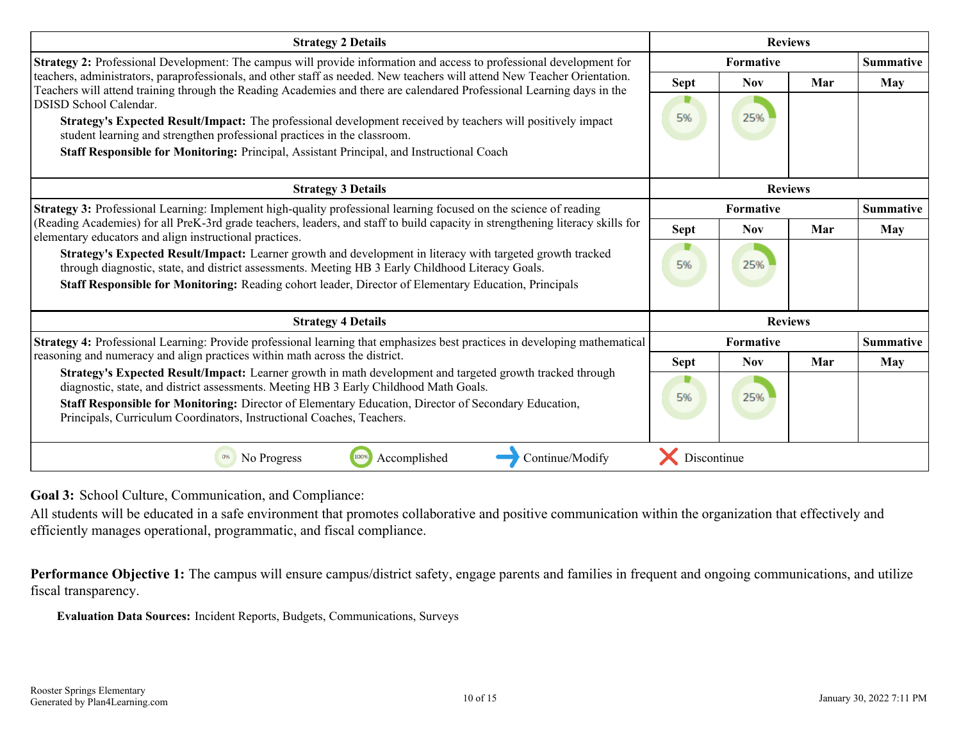<span id="page-9-0"></span>

| <b>Strategy 2 Details</b>                                                                                                                                                                                                                           | <b>Reviews</b> |                  |                |                  |
|-----------------------------------------------------------------------------------------------------------------------------------------------------------------------------------------------------------------------------------------------------|----------------|------------------|----------------|------------------|
| Strategy 2: Professional Development: The campus will provide information and access to professional development for                                                                                                                                |                | Formative        |                |                  |
| teachers, administrators, paraprofessionals, and other staff as needed. New teachers will attend New Teacher Orientation.<br>Teachers will attend training through the Reading Academies and there are calendared Professional Learning days in the | <b>Sept</b>    | <b>Nov</b>       | Mar            | May              |
| <b>DSISD School Calendar.</b>                                                                                                                                                                                                                       |                |                  |                |                  |
| Strategy's Expected Result/Impact: The professional development received by teachers will positively impact<br>student learning and strengthen professional practices in the classroom.                                                             | 5%             | 25%              |                |                  |
| Staff Responsible for Monitoring: Principal, Assistant Principal, and Instructional Coach                                                                                                                                                           |                |                  |                |                  |
| <b>Strategy 3 Details</b>                                                                                                                                                                                                                           |                |                  | <b>Reviews</b> |                  |
| Strategy 3: Professional Learning: Implement high-quality professional learning focused on the science of reading                                                                                                                                   |                | Formative        |                | <b>Summative</b> |
| (Reading Academies) for all PreK-3rd grade teachers, leaders, and staff to build capacity in strengthening literacy skills for<br>elementary educators and align instructional practices.                                                           | <b>Sept</b>    | <b>Nov</b>       | Mar            | May              |
| Strategy's Expected Result/Impact: Learner growth and development in literacy with targeted growth tracked<br>through diagnostic, state, and district assessments. Meeting HB 3 Early Childhood Literacy Goals.                                     | D<br>5%        | 25%              |                |                  |
| Staff Responsible for Monitoring: Reading cohort leader, Director of Elementary Education, Principals                                                                                                                                               |                |                  |                |                  |
| <b>Strategy 4 Details</b>                                                                                                                                                                                                                           |                |                  | <b>Reviews</b> |                  |
| Strategy 4: Professional Learning: Provide professional learning that emphasizes best practices in developing mathematical                                                                                                                          |                | <b>Formative</b> |                | <b>Summative</b> |
| reasoning and numeracy and align practices within math across the district.                                                                                                                                                                         | <b>Sept</b>    | <b>Nov</b>       | Mar            | May              |
| Strategy's Expected Result/Impact: Learner growth in math development and targeted growth tracked through<br>diagnostic, state, and district assessments. Meeting HB 3 Early Childhood Math Goals.                                                  | 5%             | 25%              |                |                  |
| Staff Responsible for Monitoring: Director of Elementary Education, Director of Secondary Education,<br>Principals, Curriculum Coordinators, Instructional Coaches, Teachers.                                                                       |                |                  |                |                  |
| No Progress<br>100%<br>Accomplished<br>Continue/Modify                                                                                                                                                                                              | Discontinue    |                  |                |                  |

**Goal 3:** School Culture, Communication, and Compliance:

All students will be educated in a safe environment that promotes collaborative and positive communication within the organization that effectively and efficiently manages operational, programmatic, and fiscal compliance.

**Performance Objective 1:** The campus will ensure campus/district safety, engage parents and families in frequent and ongoing communications, and utilize fiscal transparency.

**Evaluation Data Sources:** Incident Reports, Budgets, Communications, Surveys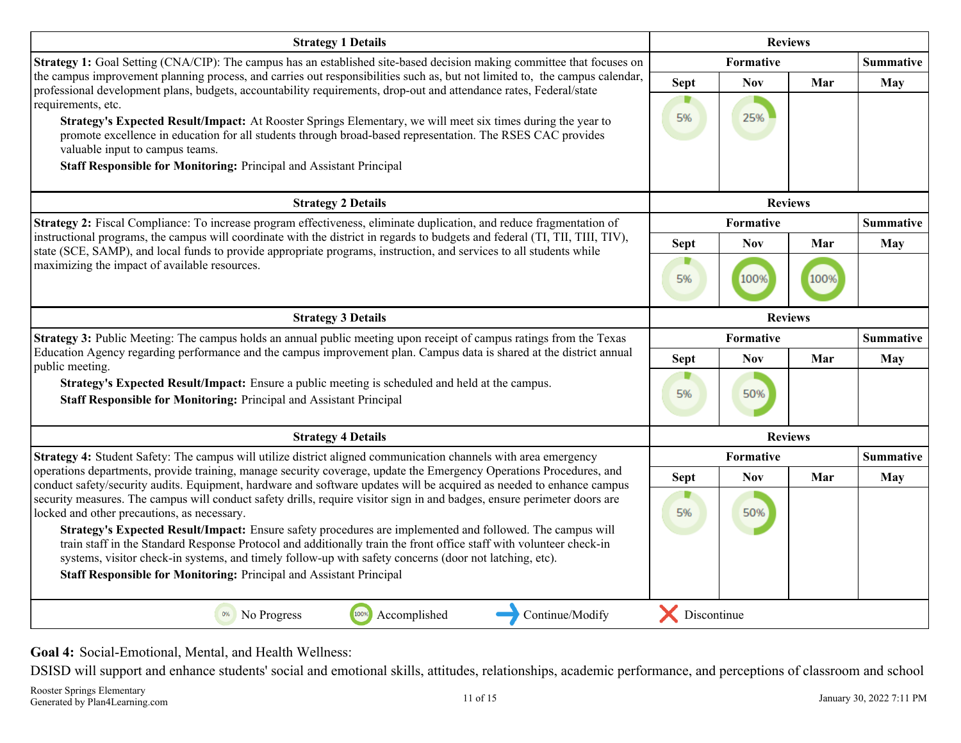<span id="page-10-0"></span>

| <b>Strategy 1 Details</b>                                                                                                                                                                                                                                                                                                                                                                                                                                                                                                                                                                                      | <b>Reviews</b>    |                   |                |                  |
|----------------------------------------------------------------------------------------------------------------------------------------------------------------------------------------------------------------------------------------------------------------------------------------------------------------------------------------------------------------------------------------------------------------------------------------------------------------------------------------------------------------------------------------------------------------------------------------------------------------|-------------------|-------------------|----------------|------------------|
| Strategy 1: Goal Setting (CNA/CIP): The campus has an established site-based decision making committee that focuses on                                                                                                                                                                                                                                                                                                                                                                                                                                                                                         |                   | Formative         |                |                  |
| the campus improvement planning process, and carries out responsibilities such as, but not limited to, the campus calendar,<br>professional development plans, budgets, accountability requirements, drop-out and attendance rates, Federal/state<br>requirements, etc.<br>Strategy's Expected Result/Impact: At Rooster Springs Elementary, we will meet six times during the year to<br>promote excellence in education for all students through broad-based representation. The RSES CAC provides<br>valuable input to campus teams.<br>Staff Responsible for Monitoring: Principal and Assistant Principal | <b>Sept</b><br>5% | <b>Nov</b><br>25% | Mar            | <b>May</b>       |
| <b>Strategy 2 Details</b>                                                                                                                                                                                                                                                                                                                                                                                                                                                                                                                                                                                      |                   |                   | <b>Reviews</b> |                  |
| Strategy 2: Fiscal Compliance: To increase program effectiveness, eliminate duplication, and reduce fragmentation of                                                                                                                                                                                                                                                                                                                                                                                                                                                                                           |                   | <b>Formative</b>  |                | <b>Summative</b> |
| instructional programs, the campus will coordinate with the district in regards to budgets and federal (TI, TII, TIII, TIV),<br>state (SCE, SAMP), and local funds to provide appropriate programs, instruction, and services to all students while                                                                                                                                                                                                                                                                                                                                                            | <b>Sept</b>       | <b>Nov</b>        | Mar            | May              |
| maximizing the impact of available resources.                                                                                                                                                                                                                                                                                                                                                                                                                                                                                                                                                                  | 5%                | 100%              | 100%           |                  |
| <b>Strategy 3 Details</b>                                                                                                                                                                                                                                                                                                                                                                                                                                                                                                                                                                                      |                   |                   | <b>Reviews</b> |                  |
| Strategy 3: Public Meeting: The campus holds an annual public meeting upon receipt of campus ratings from the Texas                                                                                                                                                                                                                                                                                                                                                                                                                                                                                            |                   | Formative         |                | <b>Summative</b> |
| Education Agency regarding performance and the campus improvement plan. Campus data is shared at the district annual<br>public meeting.                                                                                                                                                                                                                                                                                                                                                                                                                                                                        | <b>Sept</b>       | <b>Nov</b>        | Mar            | <b>May</b>       |
| Strategy's Expected Result/Impact: Ensure a public meeting is scheduled and held at the campus.<br>Staff Responsible for Monitoring: Principal and Assistant Principal                                                                                                                                                                                                                                                                                                                                                                                                                                         | 5%                | 50%               |                |                  |
| <b>Strategy 4 Details</b>                                                                                                                                                                                                                                                                                                                                                                                                                                                                                                                                                                                      |                   |                   | <b>Reviews</b> |                  |
| Strategy 4: Student Safety: The campus will utilize district aligned communication channels with area emergency                                                                                                                                                                                                                                                                                                                                                                                                                                                                                                |                   | Formative         |                | <b>Summative</b> |
| operations departments, provide training, manage security coverage, update the Emergency Operations Procedures, and<br>conduct safety/security audits. Equipment, hardware and software updates will be acquired as needed to enhance campus                                                                                                                                                                                                                                                                                                                                                                   | <b>Sept</b>       | <b>Nov</b>        | Mar            | May              |
| security measures. The campus will conduct safety drills, require visitor sign in and badges, ensure perimeter doors are<br>locked and other precautions, as necessary.<br>Strategy's Expected Result/Impact: Ensure safety procedures are implemented and followed. The campus will<br>train staff in the Standard Response Protocol and additionally train the front office staff with volunteer check-in<br>systems, visitor check-in systems, and timely follow-up with safety concerns (door not latching, etc).<br>Staff Responsible for Monitoring: Principal and Assistant Principal                   | 5%                | 50%               |                |                  |
| 100%<br>Accomplished<br>Continue/Modify<br>No Progress<br>0%                                                                                                                                                                                                                                                                                                                                                                                                                                                                                                                                                   | Discontinue       |                   |                |                  |

**Goal 4:** Social-Emotional, Mental, and Health Wellness:

DSISD will support and enhance students' social and emotional skills, attitudes, relationships, academic performance, and perceptions of classroom and school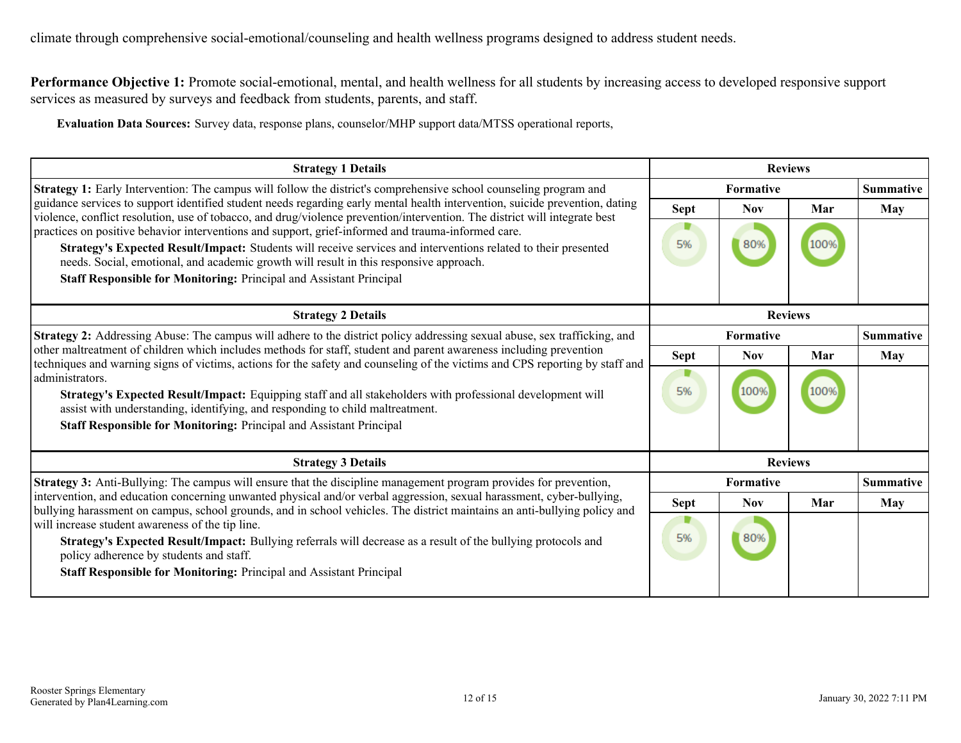**Performance Objective 1:** Promote social-emotional, mental, and health wellness for all students by increasing access to developed responsive support services as measured by surveys and feedback from students, parents, and staff.

**Evaluation Data Sources:** Survey data, response plans, counselor/MHP support data/MTSS operational reports,

| <b>Strategy 1 Details</b>                                                                                                                                                                                                                                                                                                                                                             | <b>Reviews</b> |                  |     |                  |
|---------------------------------------------------------------------------------------------------------------------------------------------------------------------------------------------------------------------------------------------------------------------------------------------------------------------------------------------------------------------------------------|----------------|------------------|-----|------------------|
| <b>Strategy 1:</b> Early Intervention: The campus will follow the district's comprehensive school counseling program and                                                                                                                                                                                                                                                              | Formative      |                  |     | <b>Summative</b> |
| guidance services to support identified student needs regarding early mental health intervention, suicide prevention, dating<br>violence, conflict resolution, use of tobacco, and drug/violence prevention/intervention. The district will integrate best                                                                                                                            | Sept           | <b>Nov</b>       | Mar | May              |
| practices on positive behavior interventions and support, grief-informed and trauma-informed care.<br>Strategy's Expected Result/Impact: Students will receive services and interventions related to their presented<br>needs. Social, emotional, and academic growth will result in this responsive approach.<br>Staff Responsible for Monitoring: Principal and Assistant Principal | 5%             | 80%              |     |                  |
| <b>Strategy 2 Details</b>                                                                                                                                                                                                                                                                                                                                                             | <b>Reviews</b> |                  |     |                  |
| <b>Strategy 2:</b> Addressing Abuse: The campus will adhere to the district policy addressing sexual abuse, sex trafficking, and                                                                                                                                                                                                                                                      |                | Formative        |     | <b>Summative</b> |
| other maltreatment of children which includes methods for staff, student and parent awareness including prevention<br>techniques and warning signs of victims, actions for the safety and counseling of the victims and CPS reporting by staff and                                                                                                                                    | <b>Sept</b>    | <b>Nov</b>       | Mar | May              |
| administrators.<br>Strategy's Expected Result/Impact: Equipping staff and all stakeholders with professional development will<br>assist with understanding, identifying, and responding to child maltreatment.<br>Staff Responsible for Monitoring: Principal and Assistant Principal                                                                                                 | 5%             | 1009             |     |                  |
| <b>Strategy 3 Details</b>                                                                                                                                                                                                                                                                                                                                                             | <b>Reviews</b> |                  |     |                  |
| <b>Strategy 3:</b> Anti-Bullying: The campus will ensure that the discipline management program provides for prevention,                                                                                                                                                                                                                                                              |                | <b>Formative</b> |     | <b>Summative</b> |
| intervention, and education concerning unwanted physical and/or verbal aggression, sexual harassment, cyber-bullying,<br>bullying harassment on campus, school grounds, and in school vehicles. The district maintains an anti-bullying policy and                                                                                                                                    | <b>Sept</b>    | <b>Nov</b>       | Mar | May              |
| will increase student awareness of the tip line.<br>Strategy's Expected Result/Impact: Bullying referrals will decrease as a result of the bullying protocols and<br>policy adherence by students and staff.<br><b>Staff Responsible for Monitoring: Principal and Assistant Principal</b>                                                                                            | 5%             | 80%              |     |                  |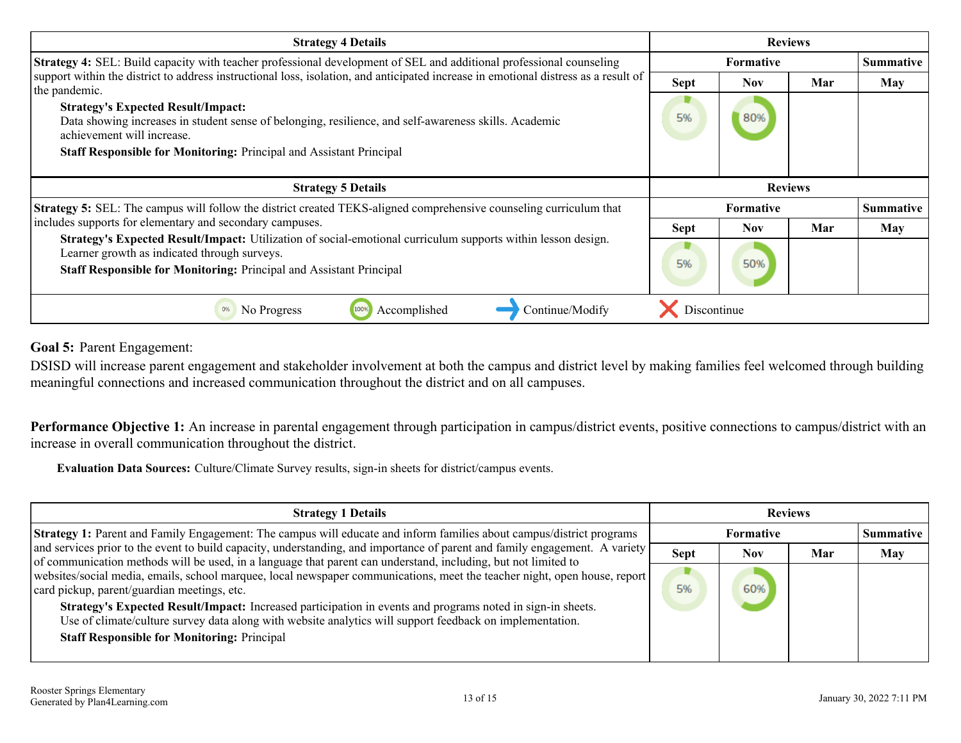<span id="page-12-0"></span>

| <b>Strategy 4 Details</b>                                                                                                                                                                         | <b>Reviews</b>   |                  |     |                  |
|---------------------------------------------------------------------------------------------------------------------------------------------------------------------------------------------------|------------------|------------------|-----|------------------|
| <b>Strategy 4:</b> SEL: Build capacity with teacher professional development of SEL and additional professional counseling                                                                        |                  | <b>Formative</b> |     |                  |
| support within the district to address instructional loss, isolation, and anticipated increase in emotional distress as a result of<br>the pandemic.<br><b>Strategy's Expected Result/Impact:</b> | <b>Sept</b>      | <b>Nov</b>       | Mar | May              |
| Data showing increases in student sense of belonging, resilience, and self-awareness skills. Academic<br>achievement will increase.                                                               | 5%               | 80%              |     |                  |
| Staff Responsible for Monitoring: Principal and Assistant Principal                                                                                                                               |                  |                  |     |                  |
|                                                                                                                                                                                                   |                  |                  |     |                  |
| <b>Strategy 5 Details</b>                                                                                                                                                                         | <b>Reviews</b>   |                  |     |                  |
| <b>Strategy 5:</b> SEL: The campus will follow the district created TEKS-aligned comprehensive counseling curriculum that                                                                         | <b>Formative</b> |                  |     | <b>Summative</b> |
| includes supports for elementary and secondary campuses.                                                                                                                                          | <b>Sept</b>      | <b>Nov</b>       | Mar | May              |
| Strategy's Expected Result/Impact: Utilization of social-emotional curriculum supports within lesson design.<br>Learner growth as indicated through surveys.                                      |                  | 50%              |     |                  |
| <b>Staff Responsible for Monitoring: Principal and Assistant Principal</b>                                                                                                                        | 5%               |                  |     |                  |

**Goal 5:** Parent Engagement:

DSISD will increase parent engagement and stakeholder involvement at both the campus and district level by making families feel welcomed through building meaningful connections and increased communication throughout the district and on all campuses.

**Performance Objective 1:** An increase in parental engagement through participation in campus/district events, positive connections to campus/district with an increase in overall communication throughout the district.

**Evaluation Data Sources:** Culture/Climate Survey results, sign-in sheets for district/campus events.

| <b>Strategy 1 Details</b>                                                                                                                                                                                                                     | <b>Reviews</b> |                  |     |            |
|-----------------------------------------------------------------------------------------------------------------------------------------------------------------------------------------------------------------------------------------------|----------------|------------------|-----|------------|
| Strategy 1: Parent and Family Engagement: The campus will educate and inform families about campus/district programs                                                                                                                          |                | <b>Summative</b> |     |            |
| and services prior to the event to build capacity, understanding, and importance of parent and family engagement. A variety<br>of communication methods will be used, in a language that parent can understand, including, but not limited to | <b>Sept</b>    | Nov              | Mar | <b>May</b> |
| websites/social media, emails, school marquee, local newspaper communications, meet the teacher night, open house, report<br>card pickup, parent/guardian meetings, etc.                                                                      | 5%             | 60%              |     |            |
| Strategy's Expected Result/Impact: Increased participation in events and programs noted in sign-in sheets.<br>Use of climate/culture survey data along with website analytics will support feedback on implementation.                        |                |                  |     |            |
| <b>Staff Responsible for Monitoring: Principal</b>                                                                                                                                                                                            |                |                  |     |            |
|                                                                                                                                                                                                                                               |                |                  |     |            |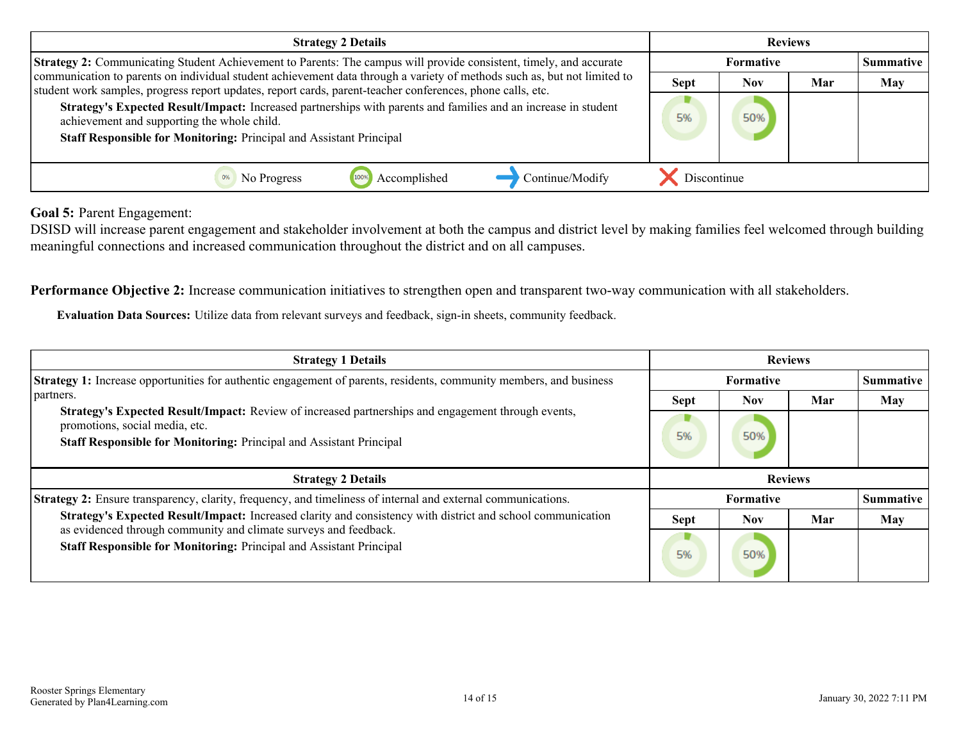| <b>Strategy 2 Details</b>                                                                                                                                                                                                              | <b>Reviews</b> |                  |     |            |
|----------------------------------------------------------------------------------------------------------------------------------------------------------------------------------------------------------------------------------------|----------------|------------------|-----|------------|
| <b>Strategy 2:</b> Communicating Student Achievement to Parents: The campus will provide consistent, timely, and accurate                                                                                                              |                | <b>Summative</b> |     |            |
| communication to parents on individual student achievement data through a variety of methods such as, but not limited to<br>student work samples, progress report updates, report cards, parent-teacher conferences, phone calls, etc. | <b>Sept</b>    | <b>Nov</b>       | Mar | <b>May</b> |
| Strategy's Expected Result/Impact: Increased partnerships with parents and families and an increase in student<br>achievement and supporting the whole child.<br>Staff Responsible for Monitoring: Principal and Assistant Principal   | 5%             | 50%              |     |            |
| Continue/Modify<br>Accomplished<br>No Progress                                                                                                                                                                                         | Discontinue    |                  |     |            |

**Goal 5:** Parent Engagement:

DSISD will increase parent engagement and stakeholder involvement at both the campus and district level by making families feel welcomed through building meaningful connections and increased communication throughout the district and on all campuses.

**Performance Objective 2:** Increase communication initiatives to strengthen open and transparent two-way communication with all stakeholders.

**Evaluation Data Sources:** Utilize data from relevant surveys and feedback, sign-in sheets, community feedback.

| <b>Strategy 1 Details</b>                                                                                                                                                                                   | <b>Reviews</b> |                  |     |            |
|-------------------------------------------------------------------------------------------------------------------------------------------------------------------------------------------------------------|----------------|------------------|-----|------------|
| Strategy 1: Increase opportunities for authentic engagement of parents, residents, community members, and business                                                                                          | Formative      |                  |     | Summative  |
| partners.                                                                                                                                                                                                   | <b>Sept</b>    | <b>Nov</b>       | Mar | May        |
| Strategy's Expected Result/Impact: Review of increased partnerships and engagement through events,<br>promotions, social media, etc.<br>Staff Responsible for Monitoring: Principal and Assistant Principal | 5%             | 50%              |     |            |
|                                                                                                                                                                                                             |                |                  |     |            |
| <b>Strategy 2 Details</b>                                                                                                                                                                                   |                | <b>Reviews</b>   |     |            |
| Strategy 2: Ensure transparency, clarity, frequency, and timeliness of internal and external communications.                                                                                                |                | <b>Formative</b> |     | Summative  |
| Strategy's Expected Result/Impact: Increased clarity and consistency with district and school communication<br>as evidenced through community and climate surveys and feedback.                             | <b>Sept</b>    | <b>Nov</b>       | Mar | <b>May</b> |